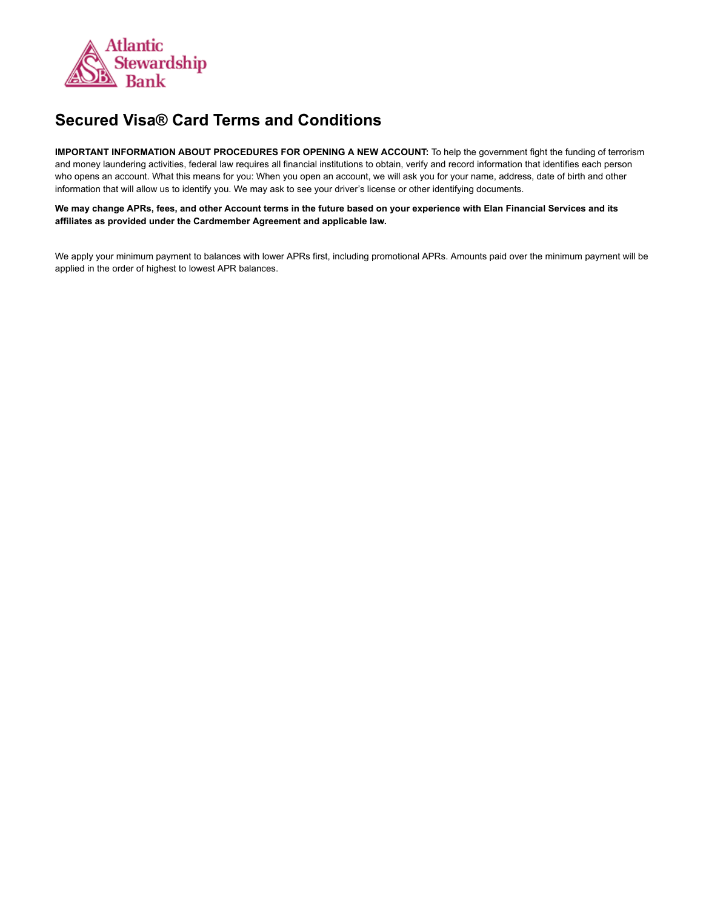

## **Secured Visa® Card Terms and Conditions**

**IMPORTANT INFORMATION ABOUT PROCEDURES FOR OPENING A NEW ACCOUNT:** To help the government fight the funding of terrorism and money laundering activities, federal law requires all financial institutions to obtain, verify and record information that identifies each person who opens an account. What this means for you: When you open an account, we will ask you for your name, address, date of birth and other information that will allow us to identify you. We may ask to see your driver's license or other identifying documents.

We may change APRs, fees, and other Account terms in the future based on your experience with Elan Financial Services and its **affiliates as provided under the Cardmember Agreement and applicable law.**

We apply your minimum payment to balances with lower APRs first, including promotional APRs. Amounts paid over the minimum payment will be applied in the order of highest to lowest APR balances.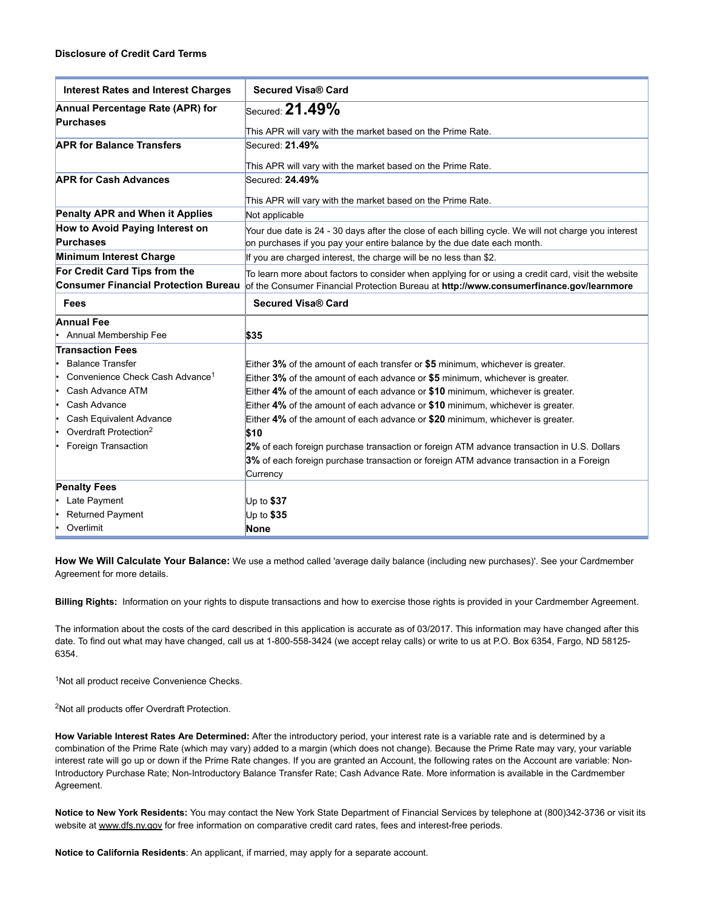| <b>Interest Rates and Interest Charges</b>  | <b>Secured Visa® Card</b>                                                                                                    |
|---------------------------------------------|------------------------------------------------------------------------------------------------------------------------------|
| Annual Percentage Rate (APR) for            | Secured: $21.49\%$                                                                                                           |
| <b>Purchases</b>                            |                                                                                                                              |
| <b>APR for Balance Transfers</b>            | This APR will vary with the market based on the Prime Rate.<br>Secured: 21.49%                                               |
|                                             |                                                                                                                              |
|                                             | This APR will vary with the market based on the Prime Rate.                                                                  |
| <b>APR for Cash Advances</b>                | Secured: 24.49%                                                                                                              |
|                                             | This APR will vary with the market based on the Prime Rate.                                                                  |
| Penalty APR and When it Applies             | Not applicable                                                                                                               |
| How to Avoid Paying Interest on             | Your due date is 24 - 30 days after the close of each billing cycle. We will not charge you interest                         |
| <b>Purchases</b>                            | on purchases if you pay your entire balance by the due date each month.                                                      |
| Minimum Interest Charge                     | If you are charged interest, the charge will be no less than \$2.                                                            |
| For Credit Card Tips from the               | To learn more about factors to consider when applying for or using a credit card, visit the website                          |
|                                             | Consumer Financial Protection Bureau of the Consumer Financial Protection Bureau at http://www.consumerfinance.gov/learnmore |
| Fees                                        | <b>Secured Visa® Card</b>                                                                                                    |
| <b>Annual Fee</b>                           |                                                                                                                              |
| Annual Membership Fee                       | \$35                                                                                                                         |
| <b>Transaction Fees</b>                     |                                                                                                                              |
| <b>Balance Transfer</b>                     | Either 3% of the amount of each transfer or \$5 minimum, whichever is greater.                                               |
| Convenience Check Cash Advance <sup>1</sup> | Either 3% of the amount of each advance or \$5 minimum, whichever is greater.                                                |
| Cash Advance ATM                            | Either 4% of the amount of each advance or \$10 minimum, whichever is greater.                                               |
| Cash Advance                                | Either 4% of the amount of each advance or \$10 minimum, whichever is greater.                                               |
| Cash Equivalent Advance                     | Either 4% of the amount of each advance or \$20 minimum, whichever is greater.                                               |
| Overdraft Protection <sup>2</sup>           | \$10                                                                                                                         |
| Foreign Transaction                         | 2% of each foreign purchase transaction or foreign ATM advance transaction in U.S. Dollars                                   |
|                                             | 3% of each foreign purchase transaction or foreign ATM advance transaction in a Foreign                                      |
|                                             | Currency                                                                                                                     |
| <b>Penalty Fees</b>                         |                                                                                                                              |
| Late Payment                                | Up to $$37$                                                                                                                  |
| <b>Returned Payment</b>                     | Up to $$35$                                                                                                                  |
| Overlimit                                   | <b>None</b>                                                                                                                  |

**How We Will Calculate Your Balance:** We use a method called 'average daily balance (including new purchases)'. See your Cardmember Agreement for more details.

**Billing Rights:** Information on your rights to dispute transactions and how to exercise those rights is provided in your Cardmember Agreement.

The information about the costs of the card described in this application is accurate as of 03/2017. This information may have changed after this date. To find out what may have changed, call us at 1-800-558-3424 (we accept relay calls) or write to us at P.O. Box 6354, Fargo, ND 58125-6354.

<sup>1</sup>Not all product receive Convenience Checks.

<sup>2</sup>Not all products offer Overdraft Protection.

**How Variable Interest Rates Are Determined:** After the introductory period, your interest rate is a variable rate and is determined by a combination of the Prime Rate (which may vary) added to a margin (which does not change). Because the Prime Rate may vary, your variable interest rate will go up or down if the Prime Rate changes. If you are granted an Account, the following rates on the Account are variable: Non-Introductory Purchase Rate; Non-Introductory Balance Transfer Rate; Cash Advance Rate. More information is available in the Cardmember Agreement.

**Notice to New York Residents:** You may contact the New York State Department of Financial Services by telephone at (800)3423736 or visit its website at [www.dfs.ny.gov](http://www.dfs.ny.gov/) for free information on comparative credit card rates, fees and interest-free periods.

**Notice to California Residents**: An applicant, if married, may apply for a separate account.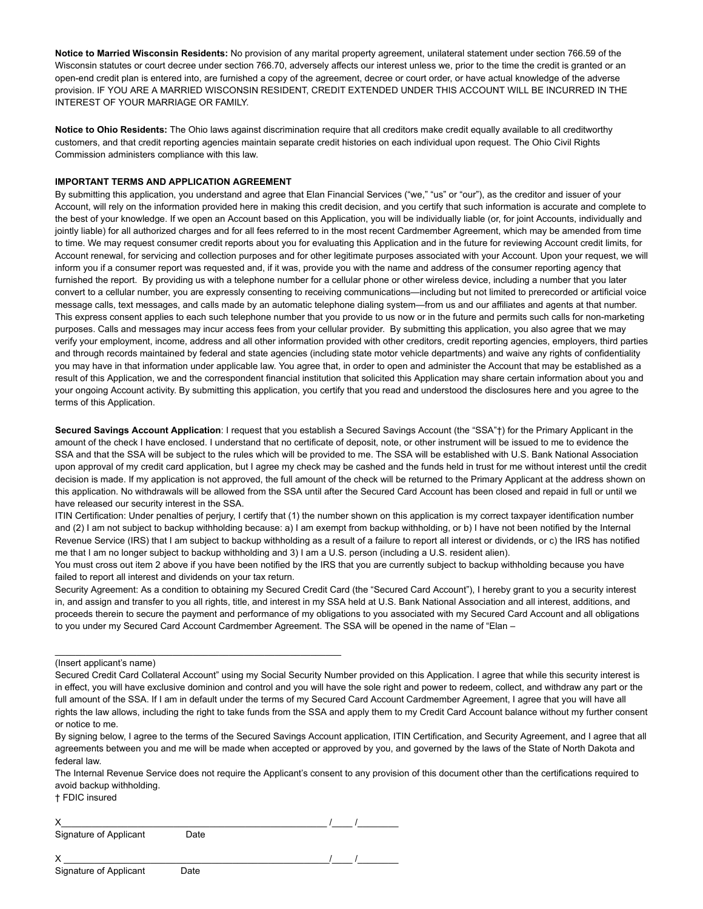**Notice to Married Wisconsin Residents:** No provision of any marital property agreement, unilateral statement under section 766.59 of the Wisconsin statutes or court decree under section 766.70, adversely affects our interest unless we, prior to the time the credit is granted or an open-end credit plan is entered into, are furnished a copy of the agreement, decree or court order, or have actual knowledge of the adverse provision. IF YOU ARE A MARRIED WISCONSIN RESIDENT, CREDIT EXTENDED UNDER THIS ACCOUNT WILL BE INCURRED IN THE INTEREST OF YOUR MARRIAGE OR FAMILY.

**Notice to Ohio Residents:** The Ohio laws against discrimination require that all creditors make credit equally available to all creditworthy customers, and that credit reporting agencies maintain separate credit histories on each individual upon request. The Ohio Civil Rights Commission administers compliance with this law.

## **IMPORTANT TERMS AND APPLICATION AGREEMENT**

By submitting this application, you understand and agree that Elan Financial Services ("we," "us" or "our"), as the creditor and issuer of your Account, will rely on the information provided here in making this credit decision, and you certify that such information is accurate and complete to the best of your knowledge. If we open an Account based on this Application, you will be individually liable (or, for joint Accounts, individually and jointly liable) for all authorized charges and for all fees referred to in the most recent Cardmember Agreement, which may be amended from time to time. We may request consumer credit reports about you for evaluating this Application and in the future for reviewing Account credit limits, for Account renewal, for servicing and collection purposes and for other legitimate purposes associated with your Account. Upon your request, we will inform you if a consumer report was requested and, if it was, provide you with the name and address of the consumer reporting agency that furnished the report. By providing us with a telephone number for a cellular phone or other wireless device, including a number that you later convert to a cellular number, you are expressly consenting to receiving communications—including but not limited to prerecorded or artificial voice message calls, text messages, and calls made by an automatic telephone dialing system—from us and our affiliates and agents at that number. This express consent applies to each such telephone number that you provide to us now or in the future and permits such calls for non-marketing purposes. Calls and messages may incur access fees from your cellular provider. By submitting this application, you also agree that we may verify your employment, income, address and all other information provided with other creditors, credit reporting agencies, employers, third parties and through records maintained by federal and state agencies (including state motor vehicle departments) and waive any rights of confidentiality you may have in that information under applicable law. You agree that, in order to open and administer the Account that may be established as a result of this Application, we and the correspondent financial institution that solicited this Application may share certain information about you and your ongoing Account activity. By submitting this application, you certify that you read and understood the disclosures here and you agree to the terms of this Application.

**Secured Savings Account Application**: I request that you establish a Secured Savings Account (the "SSA"†) for the Primary Applicant in the amount of the check I have enclosed. I understand that no certificate of deposit, note, or other instrument will be issued to me to evidence the SSA and that the SSA will be subject to the rules which will be provided to me. The SSA will be established with U.S. Bank National Association upon approval of my credit card application, but I agree my check may be cashed and the funds held in trust for me without interest until the credit decision is made. If my application is not approved, the full amount of the check will be returned to the Primary Applicant at the address shown on this application. No withdrawals will be allowed from the SSA until after the Secured Card Account has been closed and repaid in full or until we have released our security interest in the SSA.

ITIN Certification: Under penalties of perjury, I certify that (1) the number shown on this application is my correct taxpayer identification number and (2) I am not subject to backup withholding because: a) I am exempt from backup withholding, or b) I have not been notified by the Internal Revenue Service (IRS) that I am subject to backup withholding as a result of a failure to report all interest or dividends, or c) the IRS has notified me that I am no longer subject to backup withholding and 3) I am a U.S. person (including a U.S. resident alien).

You must cross out item 2 above if you have been notified by the IRS that you are currently subject to backup withholding because you have failed to report all interest and dividends on your tax return.

Security Agreement: As a condition to obtaining my Secured Credit Card (the "Secured Card Account"), I hereby grant to you a security interest in, and assign and transfer to you all rights, title, and interest in my SSA held at U.S. Bank National Association and all interest, additions, and proceeds therein to secure the payment and performance of my obligations to you associated with my Secured Card Account and all obligations to you under my Secured Card Account Cardmember Agreement. The SSA will be opened in the name of "Elan –

† FDIC insured

 $\times$   $\qquad$  /  $\qquad$  /  $\qquad$  /  $\qquad$  /  $\qquad$  /  $\qquad$  /  $\qquad$  /  $\qquad$  /  $\qquad$  /  $\qquad$  /  $\qquad$  /  $\qquad$  /  $\qquad$  /  $\qquad$  /  $\qquad$  /  $\qquad$  /  $\qquad$  /  $\qquad$  /  $\qquad$  /  $\qquad$  /  $\qquad$  /  $\qquad$  /  $\qquad$  /  $\qquad$  /  $\qquad$  /  $\qquad$  /  $\qquad$  / Signature of Applicant Date

\_\_\_\_\_\_\_\_\_\_\_\_\_\_\_\_\_\_\_\_\_\_\_\_\_\_\_\_\_\_\_\_\_\_\_\_\_\_\_\_\_\_\_\_\_\_\_\_\_\_\_\_\_\_\_\_

X \_\_\_\_\_\_\_\_\_\_\_\_\_\_\_\_\_\_\_\_\_\_\_\_\_\_\_\_\_\_\_\_\_\_\_\_\_\_\_\_\_\_\_\_\_\_\_\_\_\_\_\_/\_\_\_\_ /\_\_\_\_\_\_\_\_

<sup>(</sup>Insert applicant's name)

Secured Credit Card Collateral Account" using my Social Security Number provided on this Application. I agree that while this security interest is in effect, you will have exclusive dominion and control and you will have the sole right and power to redeem, collect, and withdraw any part or the full amount of the SSA. If I am in default under the terms of my Secured Card Account Cardmember Agreement, I agree that you will have all rights the law allows, including the right to take funds from the SSA and apply them to my Credit Card Account balance without my further consent or notice to me.

By signing below, I agree to the terms of the Secured Savings Account application, ITIN Certification, and Security Agreement, and I agree that all agreements between you and me will be made when accepted or approved by you, and governed by the laws of the State of North Dakota and federal law.

The Internal Revenue Service does not require the Applicant's consent to any provision of this document other than the certifications required to avoid backup withholding.